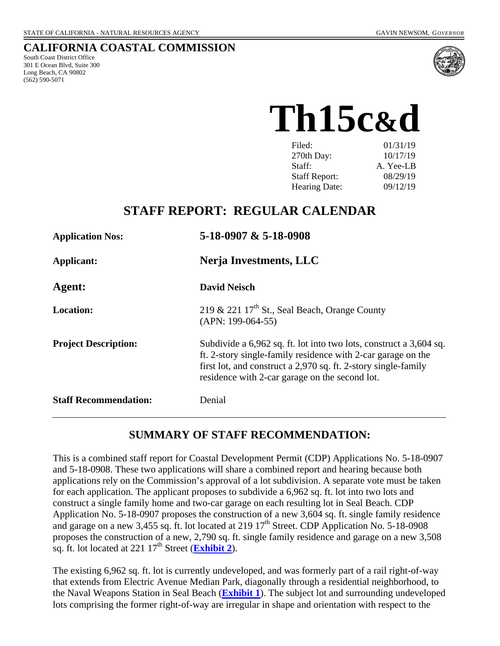#### **CALIFORNIA COASTAL COMMISSION**

South Coast District Office 301 E Ocean Blvd, Suite 300 Long Beach, CA 90802 (562) 590-5071



**Th15c&d** 

| Filed:               | 01/31/19  |
|----------------------|-----------|
| 270th Day:           | 10/17/19  |
| Staff:               | A. Yee-LB |
| <b>Staff Report:</b> | 08/29/19  |
| Hearing Date:        | 09/12/19  |

# **STAFF REPORT: REGULAR CALENDAR**

| <b>Application Nos:</b>      | $5-18-0907 \& 5-18-0908$                                                                                                                                                                                                                               |  |  |
|------------------------------|--------------------------------------------------------------------------------------------------------------------------------------------------------------------------------------------------------------------------------------------------------|--|--|
| Applicant:                   | Nerja Investments, LLC                                                                                                                                                                                                                                 |  |  |
| Agent:                       | <b>David Neisch</b>                                                                                                                                                                                                                                    |  |  |
| <b>Location:</b>             | 219 & 221 $17th$ St., Seal Beach, Orange County<br>$(APN: 199-064-55)$                                                                                                                                                                                 |  |  |
| <b>Project Description:</b>  | Subdivide a 6,962 sq. ft. lot into two lots, construct a 3,604 sq.<br>ft. 2-story single-family residence with 2-car garage on the<br>first lot, and construct a 2,970 sq. ft. 2-story single-family<br>residence with 2-car garage on the second lot. |  |  |
| <b>Staff Recommendation:</b> | Denial                                                                                                                                                                                                                                                 |  |  |

# **SUMMARY OF STAFF RECOMMENDATION:**

This is a combined staff report for Coastal Development Permit (CDP) Applications No. 5-18-0907 and 5-18-0908. These two applications will share a combined report and hearing because both applications rely on the Commission's approval of a lot subdivision. A separate vote must be taken for each application. The applicant proposes to subdivide a 6,962 sq. ft. lot into two lots and construct a single family home and two-car garage on each resulting lot in Seal Beach. CDP Application No. 5-18-0907 proposes the construction of a new 3,604 sq. ft. single family residence and garage on a new 3,455 sq. ft. lot located at 219  $17<sup>th</sup>$  Street. CDP Application No. 5-18-0908 proposes the construction of a new, 2,790 sq. ft. single family residence and garage on a new 3,508 sq. ft. lot located at  $221 \frac{17^{th}}{3}$  Street (**Exhibit 2**).

The existing 6,962 sq. ft. lot is currently undeveloped, and was formerly part of a rail right-of-way that extends from Electric Avenue Median Park, diagonally through a residential neighborhood, to the Naval Weapons Station in Seal Beach (**Exhibit 1**). The subject lot and surrounding undeveloped lots comprising the former right-of-way are irregular in shape and orientation with respect to the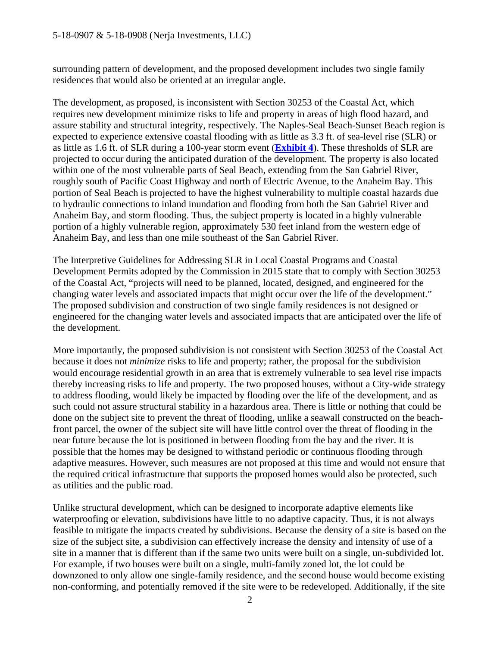surrounding pattern of development, and the proposed development includes two single family residences that would also be oriented at an irregular angle.

The development, as proposed, is inconsistent with Section 30253 of the Coastal Act, which requires new development minimize risks to life and property in areas of high flood hazard, and assure stability and structural integrity, respectively. The Naples-Seal Beach-Sunset Beach region is expected to experience extensive coastal flooding with as little as 3.3 ft. of sea-level rise (SLR) or as little as 1.6 ft. of SLR during a 100-year storm event (**Exhibit 4**). These thresholds of SLR are projected to occur during the anticipated duration of the development. The property is also located within one of the most vulnerable parts of Seal Beach, extending from the San Gabriel River, roughly south of Pacific Coast Highway and north of Electric Avenue, to the Anaheim Bay. This portion of Seal Beach is projected to have the highest vulnerability to multiple coastal hazards due to hydraulic connections to inland inundation and flooding from both the San Gabriel River and Anaheim Bay, and storm flooding. Thus, the subject property is located in a highly vulnerable portion of a highly vulnerable region, approximately 530 feet inland from the western edge of Anaheim Bay, and less than one mile southeast of the San Gabriel River.

The Interpretive Guidelines for Addressing SLR in Local Coastal Programs and Coastal Development Permits adopted by the Commission in 2015 state that to comply with Section 30253 of the Coastal Act, "projects will need to be planned, located, designed, and engineered for the changing water levels and associated impacts that might occur over the life of the development." The proposed subdivision and construction of two single family residences is not designed or engineered for the changing water levels and associated impacts that are anticipated over the life of the development.

More importantly, the proposed subdivision is not consistent with Section 30253 of the Coastal Act because it does not *minimize* risks to life and property; rather, the proposal for the subdivision would encourage residential growth in an area that is extremely vulnerable to sea level rise impacts thereby increasing risks to life and property. The two proposed houses, without a City-wide strategy to address flooding, would likely be impacted by flooding over the life of the development, and as such could not assure structural stability in a hazardous area. There is little or nothing that could be done on the subject site to prevent the threat of flooding, unlike a seawall constructed on the beachfront parcel, the owner of the subject site will have little control over the threat of flooding in the near future because the lot is positioned in between flooding from the bay and the river. It is possible that the homes may be designed to withstand periodic or continuous flooding through adaptive measures. However, such measures are not proposed at this time and would not ensure that the required critical infrastructure that supports the proposed homes would also be protected, such as utilities and the public road.

Unlike structural development, which can be designed to incorporate adaptive elements like waterproofing or elevation, subdivisions have little to no adaptive capacity. Thus, it is not always feasible to mitigate the impacts created by subdivisions. Because the density of a site is based on the size of the subject site, a subdivision can effectively increase the density and intensity of use of a site in a manner that is different than if the same two units were built on a single, un-subdivided lot. For example, if two houses were built on a single, multi-family zoned lot, the lot could be downzoned to only allow one single-family residence, and the second house would become existing non-conforming, and potentially removed if the site were to be redeveloped. Additionally, if the site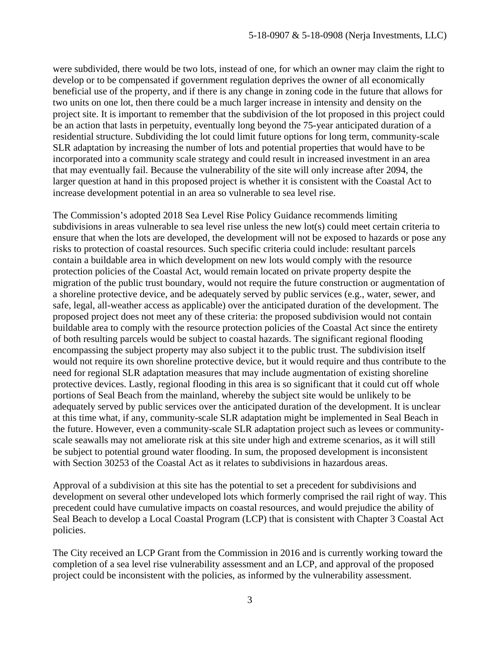were subdivided, there would be two lots, instead of one, for which an owner may claim the right to develop or to be compensated if government regulation deprives the owner of all economically beneficial use of the property, and if there is any change in zoning code in the future that allows for two units on one lot, then there could be a much larger increase in intensity and density on the project site. It is important to remember that the subdivision of the lot proposed in this project could be an action that lasts in perpetuity, eventually long beyond the 75-year anticipated duration of a residential structure. Subdividing the lot could limit future options for long term, community-scale SLR adaptation by increasing the number of lots and potential properties that would have to be incorporated into a community scale strategy and could result in increased investment in an area that may eventually fail. Because the vulnerability of the site will only increase after 2094, the larger question at hand in this proposed project is whether it is consistent with the Coastal Act to increase development potential in an area so vulnerable to sea level rise.

The Commission's adopted 2018 Sea Level Rise Policy Guidance recommends limiting subdivisions in areas vulnerable to sea level rise unless the new lot(s) could meet certain criteria to ensure that when the lots are developed, the development will not be exposed to hazards or pose any risks to protection of coastal resources. Such specific criteria could include: resultant parcels contain a buildable area in which development on new lots would comply with the resource protection policies of the Coastal Act, would remain located on private property despite the migration of the public trust boundary, would not require the future construction or augmentation of a shoreline protective device, and be adequately served by public services (e.g., water, sewer, and safe, legal, all-weather access as applicable) over the anticipated duration of the development. The proposed project does not meet any of these criteria: the proposed subdivision would not contain buildable area to comply with the resource protection policies of the Coastal Act since the entirety of both resulting parcels would be subject to coastal hazards. The significant regional flooding encompassing the subject property may also subject it to the public trust. The subdivision itself would not require its own shoreline protective device, but it would require and thus contribute to the need for regional SLR adaptation measures that may include augmentation of existing shoreline protective devices. Lastly, regional flooding in this area is so significant that it could cut off whole portions of Seal Beach from the mainland, whereby the subject site would be unlikely to be adequately served by public services over the anticipated duration of the development. It is unclear at this time what, if any, community-scale SLR adaptation might be implemented in Seal Beach in the future. However, even a community-scale SLR adaptation project such as levees or communityscale seawalls may not ameliorate risk at this site under high and extreme scenarios, as it will still be subject to potential ground water flooding. In sum, the proposed development is inconsistent with Section 30253 of the Coastal Act as it relates to subdivisions in hazardous areas.

Approval of a subdivision at this site has the potential to set a precedent for subdivisions and development on several other undeveloped lots which formerly comprised the rail right of way. This precedent could have cumulative impacts on coastal resources, and would prejudice the ability of Seal Beach to develop a Local Coastal Program (LCP) that is consistent with Chapter 3 Coastal Act policies.

The City received an LCP Grant from the Commission in 2016 and is currently working toward the completion of a sea level rise vulnerability assessment and an LCP, and approval of the proposed project could be inconsistent with the policies, as informed by the vulnerability assessment.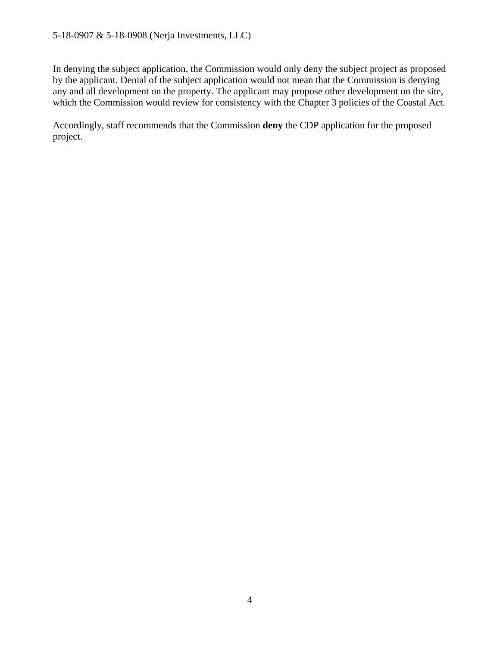In denying the subject application, the Commission would only deny the subject project as proposed by the applicant. Denial of the subject application would not mean that the Commission is denying any and all development on the property. The applicant may propose other development on the site, which the Commission would review for consistency with the Chapter 3 policies of the Coastal Act.

Accordingly, staff recommends that the Commission **deny** the CDP application for the proposed project.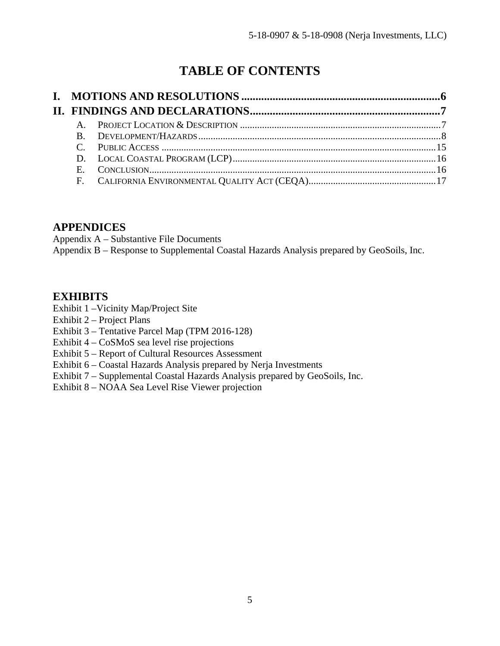# **TABLE OF CONTENTS**

### **APPENDICES**

Appendix A – Substantive File Documents Appendix B – Response to Supplemental Coastal Hazards Analysis prepared by GeoSoils, Inc.

### **EXHIBITS**

- Exhibit 1 –Vicinity Map/Project Site
- Exhibit 2 Project Plans
- Exhibit 3 Tentative Parcel Map (TPM 2016-128)
- Exhibit 4 CoSMoS sea level rise projections
- Exhibit 5 Report of Cultural Resources Assessment
- Exhibit 6 Coastal Hazards Analysis prepared by Nerja Investments
- Exhibit 7 Supplemental Coastal Hazards Analysis prepared by GeoSoils, Inc.
- Exhibit 8 NOAA Sea Level Rise Viewer projection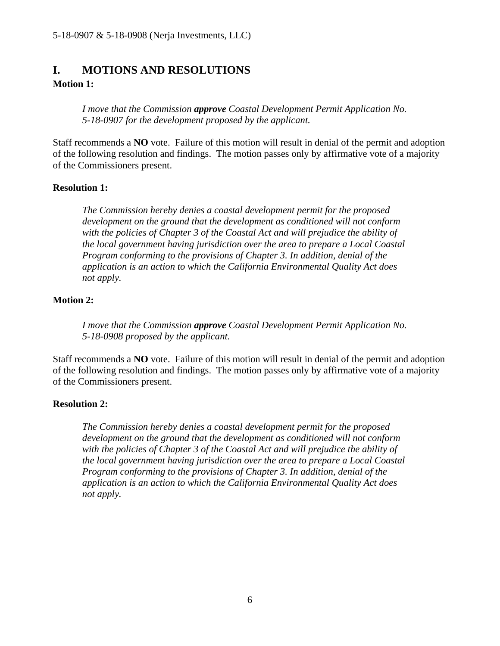# **I. MOTIONS AND RESOLUTIONS**

### **Motion 1:**

*I move that the Commission approve Coastal Development Permit Application No. 5-18-0907 for the development proposed by the applicant.*

Staff recommends a **NO** vote. Failure of this motion will result in denial of the permit and adoption of the following resolution and findings. The motion passes only by affirmative vote of a majority of the Commissioners present.

### **Resolution 1:**

*The Commission hereby denies a coastal development permit for the proposed development on the ground that the development as conditioned will not conform with the policies of Chapter 3 of the Coastal Act and will prejudice the ability of the local government having jurisdiction over the area to prepare a Local Coastal Program conforming to the provisions of Chapter 3. In addition, denial of the application is an action to which the California Environmental Quality Act does not apply.* 

### **Motion 2:**

*I move that the Commission approve Coastal Development Permit Application No. 5-18-0908 proposed by the applicant.*

Staff recommends a **NO** vote. Failure of this motion will result in denial of the permit and adoption of the following resolution and findings. The motion passes only by affirmative vote of a majority of the Commissioners present.

### **Resolution 2:**

*The Commission hereby denies a coastal development permit for the proposed development on the ground that the development as conditioned will not conform with the policies of Chapter 3 of the Coastal Act and will prejudice the ability of the local government having jurisdiction over the area to prepare a Local Coastal Program conforming to the provisions of Chapter 3. In addition, denial of the application is an action to which the California Environmental Quality Act does not apply.*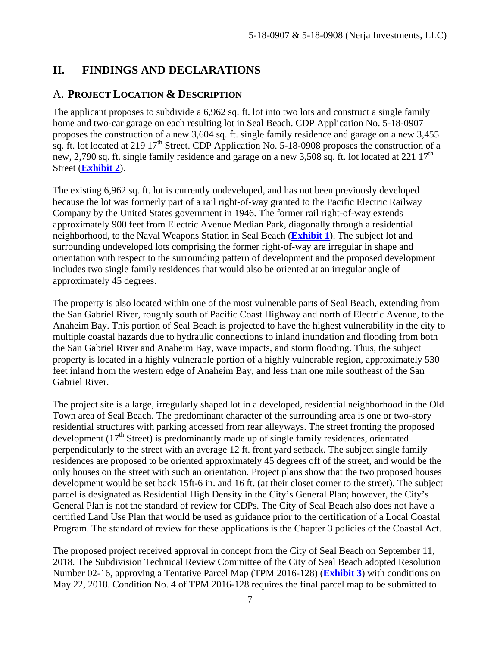# **II. FINDINGS AND DECLARATIONS**

## A. **PROJECT LOCATION & DESCRIPTION**

The applicant proposes to subdivide a 6,962 sq. ft. lot into two lots and construct a single family home and two-car garage on each resulting lot in Seal Beach. CDP Application No. 5-18-0907 proposes the construction of a new 3,604 sq. ft. single family residence and garage on a new 3,455 sq. ft. lot located at 219  $17<sup>th</sup>$  Street. CDP Application No. 5-18-0908 proposes the construction of a new, 2,790 sq. ft. single family residence and garage on a new 3,508 sq. ft. lot located at 221  $17<sup>th</sup>$ Street (**Exhibit 2**).

The existing 6,962 sq. ft. lot is currently undeveloped, and has not been previously developed because the lot was formerly part of a rail right-of-way granted to the Pacific Electric Railway Company by the United States government in 1946. The former rail right-of-way extends approximately 900 feet from Electric Avenue Median Park, diagonally through a residential neighborhood, to the Naval Weapons Station in Seal Beach (**Exhibit 1**). The subject lot and surrounding undeveloped lots comprising the former right-of-way are irregular in shape and orientation with respect to the surrounding pattern of development and the proposed development includes two single family residences that would also be oriented at an irregular angle of approximately 45 degrees.

The property is also located within one of the most vulnerable parts of Seal Beach, extending from the San Gabriel River, roughly south of Pacific Coast Highway and north of Electric Avenue, to the Anaheim Bay. This portion of Seal Beach is projected to have the highest vulnerability in the city to multiple coastal hazards due to hydraulic connections to inland inundation and flooding from both the San Gabriel River and Anaheim Bay, wave impacts, and storm flooding. Thus, the subject property is located in a highly vulnerable portion of a highly vulnerable region, approximately 530 feet inland from the western edge of Anaheim Bay, and less than one mile southeast of the San Gabriel River.

The project site is a large, irregularly shaped lot in a developed, residential neighborhood in the Old Town area of Seal Beach. The predominant character of the surrounding area is one or two-story residential structures with parking accessed from rear alleyways. The street fronting the proposed development  $(17<sup>th</sup> Street)$  is predominantly made up of single family residences, orientated perpendicularly to the street with an average 12 ft. front yard setback. The subject single family residences are proposed to be oriented approximately 45 degrees off of the street, and would be the only houses on the street with such an orientation. Project plans show that the two proposed houses development would be set back 15ft-6 in. and 16 ft. (at their closet corner to the street). The subject parcel is designated as Residential High Density in the City's General Plan; however, the City's General Plan is not the standard of review for CDPs. The City of Seal Beach also does not have a certified Land Use Plan that would be used as guidance prior to the certification of a Local Coastal Program. The standard of review for these applications is the Chapter 3 policies of the Coastal Act.

The proposed project received approval in concept from the City of Seal Beach on September 11, 2018. The Subdivision Technical Review Committee of the City of Seal Beach adopted Resolution Number 02-16, approving a Tentative Parcel Map (TPM 2016-128) (**Exhibit 3**) with conditions on May 22, 2018. Condition No. 4 of TPM 2016-128 requires the final parcel map to be submitted to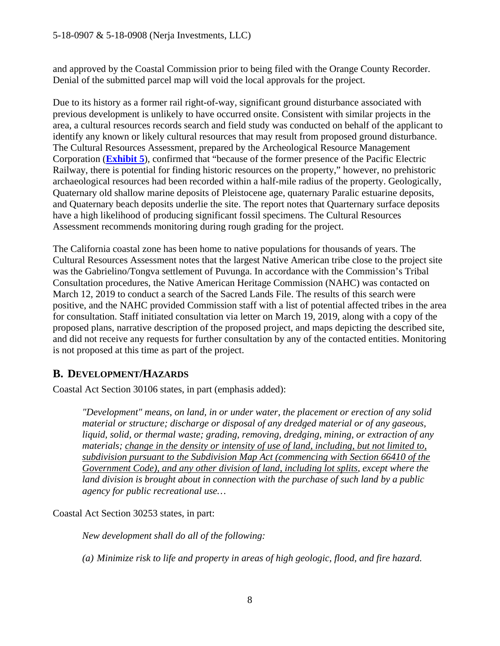and approved by the Coastal Commission prior to being filed with the Orange County Recorder. Denial of the submitted parcel map will void the local approvals for the project.

Due to its history as a former rail right-of-way, significant ground disturbance associated with previous development is unlikely to have occurred onsite. Consistent with similar projects in the area, a cultural resources records search and field study was conducted on behalf of the applicant to identify any known or likely cultural resources that may result from proposed ground disturbance. The Cultural Resources Assessment, prepared by the Archeological Resource Management Corporation (**Exhibit 5**), confirmed that "because of the former presence of the Pacific Electric Railway, there is potential for finding historic resources on the property," however, no prehistoric archaeological resources had been recorded within a half-mile radius of the property. Geologically, Quaternary old shallow marine deposits of Pleistocene age, quaternary Paralic estuarine deposits, and Quaternary beach deposits underlie the site. The report notes that Quarternary surface deposits have a high likelihood of producing significant fossil specimens. The Cultural Resources Assessment recommends monitoring during rough grading for the project.

The California coastal zone has been home to native populations for thousands of years. The Cultural Resources Assessment notes that the largest Native American tribe close to the project site was the Gabrielino/Tongva settlement of Puvunga. In accordance with the Commission's Tribal Consultation procedures, the Native American Heritage Commission (NAHC) was contacted on March 12, 2019 to conduct a search of the Sacred Lands File. The results of this search were positive, and the NAHC provided Commission staff with a list of potential affected tribes in the area for consultation. Staff initiated consultation via letter on March 19, 2019, along with a copy of the proposed plans, narrative description of the proposed project, and maps depicting the described site, and did not receive any requests for further consultation by any of the contacted entities. Monitoring is not proposed at this time as part of the project.

# **B. DEVELOPMENT/HAZARDS**

Coastal Act Section 30106 states, in part (emphasis added):

*"Development" means, on land, in or under water, the placement or erection of any solid material or structure; discharge or disposal of any dredged material or of any gaseous, liquid, solid, or thermal waste; grading, removing, dredging, mining, or extraction of any materials; change in the density or intensity of use of land, including, but not limited to, subdivision pursuant to the Subdivision Map Act (commencing with Section 66410 of the Government Code), and any other division of land, including lot splits, except where the land division is brought about in connection with the purchase of such land by a public agency for public recreational use…* 

Coastal Act Section 30253 states, in part:

*New development shall do all of the following:* 

*(a) Minimize risk to life and property in areas of high geologic, flood, and fire hazard.*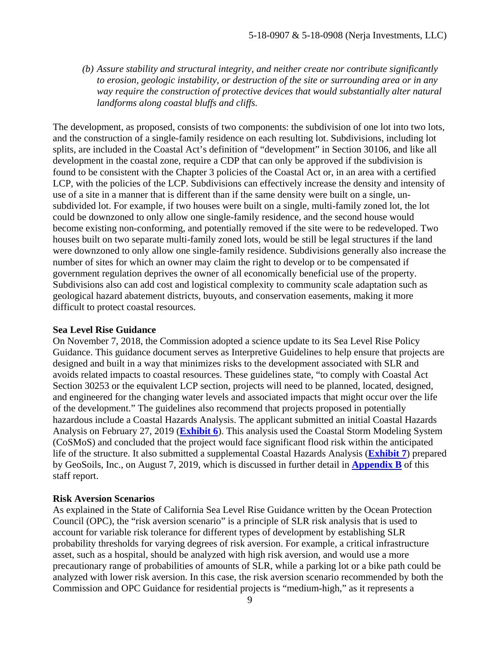*(b) Assure stability and structural integrity, and neither create nor contribute significantly to erosion, geologic instability, or destruction of the site or surrounding area or in any way require the construction of protective devices that would substantially alter natural landforms along coastal bluffs and cliffs.* 

The development, as proposed, consists of two components: the subdivision of one lot into two lots, and the construction of a single-family residence on each resulting lot. Subdivisions, including lot splits, are included in the Coastal Act's definition of "development" in Section 30106, and like all development in the coastal zone, require a CDP that can only be approved if the subdivision is found to be consistent with the Chapter 3 policies of the Coastal Act or, in an area with a certified LCP, with the policies of the LCP. Subdivisions can effectively increase the density and intensity of use of a site in a manner that is different than if the same density were built on a single, unsubdivided lot. For example, if two houses were built on a single, multi-family zoned lot, the lot could be downzoned to only allow one single-family residence, and the second house would become existing non-conforming, and potentially removed if the site were to be redeveloped. Two houses built on two separate multi-family zoned lots, would be still be legal structures if the land were downzoned to only allow one single-family residence. Subdivisions generally also increase the number of sites for which an owner may claim the right to develop or to be compensated if government regulation deprives the owner of all economically beneficial use of the property. Subdivisions also can add cost and logistical complexity to community scale adaptation such as geological hazard abatement districts, buyouts, and conservation easements, making it more difficult to protect coastal resources.

#### **Sea Level Rise Guidance**

On November 7, 2018, the Commission adopted a science update to its Sea Level Rise Policy Guidance. This guidance document serves as Interpretive Guidelines to help ensure that projects are designed and built in a way that minimizes risks to the development associated with SLR and avoids related impacts to coastal resources. These guidelines state, "to comply with Coastal Act Section 30253 or the equivalent LCP section, projects will need to be planned, located, designed, and engineered for the changing water levels and associated impacts that might occur over the life of the development." The guidelines also recommend that projects proposed in potentially hazardous include a Coastal Hazards Analysis. The applicant submitted an initial Coastal Hazards Analysis on February 27, 2019 (**Exhibit 6**). This analysis used the Coastal Storm Modeling System (CoSMoS) and concluded that the project would face significant flood risk within the anticipated life of the structure. It also submitted a supplemental Coastal Hazards Analysis (**Exhibit 7**) prepared by GeoSoils, Inc., on August 7, 2019, which is discussed in further detail in **Appendix B** of this staff report.

#### **Risk Aversion Scenarios**

As explained in the State of California Sea Level Rise Guidance written by the Ocean Protection Council (OPC), the "risk aversion scenario" is a principle of SLR risk analysis that is used to account for variable risk tolerance for different types of development by establishing SLR probability thresholds for varying degrees of risk aversion. For example, a critical infrastructure asset, such as a hospital, should be analyzed with high risk aversion, and would use a more precautionary range of probabilities of amounts of SLR, while a parking lot or a bike path could be analyzed with lower risk aversion. In this case, the risk aversion scenario recommended by both the Commission and OPC Guidance for residential projects is "medium-high," as it represents a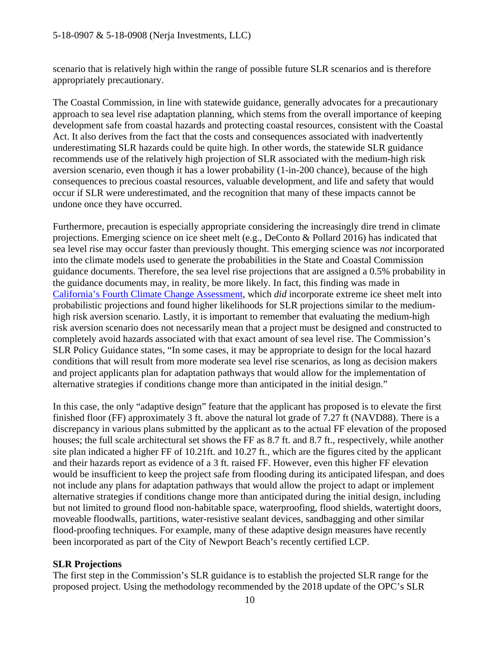#### 5-18-0907 & 5-18-0908 (Nerja Investments, LLC)

scenario that is relatively high within the range of possible future SLR scenarios and is therefore appropriately precautionary.

The Coastal Commission, in line with statewide guidance, generally advocates for a precautionary approach to sea level rise adaptation planning, which stems from the overall importance of keeping development safe from coastal hazards and protecting coastal resources, consistent with the Coastal Act. It also derives from the fact that the costs and consequences associated with inadvertently underestimating SLR hazards could be quite high. In other words, the statewide SLR guidance recommends use of the relatively high projection of SLR associated with the medium-high risk aversion scenario, even though it has a lower probability (1-in-200 chance), because of the high consequences to precious coastal resources, valuable development, and life and safety that would occur if SLR were underestimated, and the recognition that many of these impacts cannot be undone once they have occurred.

Furthermore, precaution is especially appropriate considering the increasingly dire trend in climate projections. Emerging science on ice sheet melt (e.g., DeConto & Pollard 2016) has indicated that sea level rise may occur faster than previously thought. This emerging science was *not* incorporated into the climate models used to generate the probabilities in the State and Coastal Commission guidance documents. Therefore, the sea level rise projections that are assigned a 0.5% probability in the guidance documents may, in reality, be more likely*.* In fact, this finding was made in California's Fourth Climate Change Assessment, which *did* incorporate extreme ice sheet melt into probabilistic projections and found higher likelihoods for SLR projections similar to the mediumhigh risk aversion scenario. Lastly, it is important to remember that evaluating the medium-high risk aversion scenario does not necessarily mean that a project must be designed and constructed to completely avoid hazards associated with that exact amount of sea level rise. The Commission's SLR Policy Guidance states, "In some cases, it may be appropriate to design for the local hazard conditions that will result from more moderate sea level rise scenarios, as long as decision makers and project applicants plan for adaptation pathways that would allow for the implementation of alternative strategies if conditions change more than anticipated in the initial design."

In this case, the only "adaptive design" feature that the applicant has proposed is to elevate the first finished floor (FF) approximately 3 ft. above the natural lot grade of 7.27 ft (NAVD88). There is a discrepancy in various plans submitted by the applicant as to the actual FF elevation of the proposed houses; the full scale architectural set shows the FF as 8.7 ft. and 8.7 ft., respectively, while another site plan indicated a higher FF of 10.21ft. and 10.27 ft., which are the figures cited by the applicant and their hazards report as evidence of a 3 ft. raised FF. However, even this higher FF elevation would be insufficient to keep the project safe from flooding during its anticipated lifespan, and does not include any plans for adaptation pathways that would allow the project to adapt or implement alternative strategies if conditions change more than anticipated during the initial design, including but not limited to ground flood non-habitable space, waterproofing, flood shields, watertight doors, moveable floodwalls, partitions, water-resistive sealant devices, sandbagging and other similar flood-proofing techniques. For example, many of these adaptive design measures have recently been incorporated as part of the City of Newport Beach's recently certified LCP.

#### **SLR Projections**

The first step in the Commission's SLR guidance is to establish the projected SLR range for the proposed project. Using the methodology recommended by the 2018 update of the OPC's SLR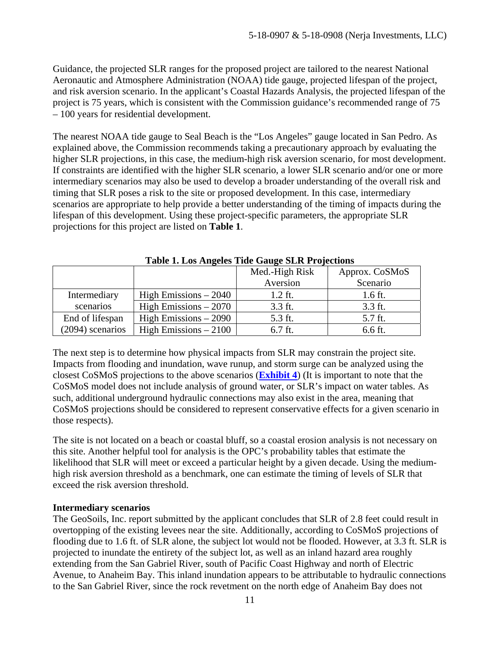Guidance, the projected SLR ranges for the proposed project are tailored to the nearest National Aeronautic and Atmosphere Administration (NOAA) tide gauge, projected lifespan of the project, and risk aversion scenario. In the applicant's Coastal Hazards Analysis, the projected lifespan of the project is 75 years, which is consistent with the Commission guidance's recommended range of 75 – 100 years for residential development.

The nearest NOAA tide gauge to Seal Beach is the "Los Angeles" gauge located in San Pedro. As explained above, the Commission recommends taking a precautionary approach by evaluating the higher SLR projections, in this case, the medium-high risk aversion scenario, for most development. If constraints are identified with the higher SLR scenario, a lower SLR scenario and/or one or more intermediary scenarios may also be used to develop a broader understanding of the overall risk and timing that SLR poses a risk to the site or proposed development. In this case, intermediary scenarios are appropriate to help provide a better understanding of the timing of impacts during the lifespan of this development. Using these project-specific parameters, the appropriate SLR projections for this project are listed on **Table 1**.

|                  |                        | Med.-High Risk | Approx. CoSMoS |  |  |
|------------------|------------------------|----------------|----------------|--|--|
|                  |                        | Aversion       | Scenario       |  |  |
| Intermediary     | High Emissions $-2040$ | $1.2$ ft.      | $1.6$ ft.      |  |  |
| scenarios        | High Emissions $-2070$ | 3.3 ft.        | 3.3 ft.        |  |  |
| End of lifespan  | High Emissions $-2090$ | 5.3 ft.        | 5.7 ft.        |  |  |
| (2094) scenarios | High Emissions $-2100$ | 6.7 ft.        | 6.6 ft.        |  |  |

**Table 1. Los Angeles Tide Gauge SLR Projections** 

The next step is to determine how physical impacts from SLR may constrain the project site. Impacts from flooding and inundation, wave runup, and storm surge can be analyzed using the closest CoSMoS projections to the above scenarios (**Exhibit 4**) (It is important to note that the CoSMoS model does not include analysis of ground water, or SLR's impact on water tables. As such, additional underground hydraulic connections may also exist in the area, meaning that CoSMoS projections should be considered to represent conservative effects for a given scenario in those respects).

The site is not located on a beach or coastal bluff, so a coastal erosion analysis is not necessary on this site. Another helpful tool for analysis is the OPC's probability tables that estimate the likelihood that SLR will meet or exceed a particular height by a given decade. Using the mediumhigh risk aversion threshold as a benchmark, one can estimate the timing of levels of SLR that exceed the risk aversion threshold.

#### **Intermediary scenarios**

The GeoSoils, Inc. report submitted by the applicant concludes that SLR of 2.8 feet could result in overtopping of the existing levees near the site. Additionally, according to CoSMoS projections of flooding due to 1.6 ft. of SLR alone, the subject lot would not be flooded. However, at 3.3 ft. SLR is projected to inundate the entirety of the subject lot, as well as an inland hazard area roughly extending from the San Gabriel River, south of Pacific Coast Highway and north of Electric Avenue, to Anaheim Bay. This inland inundation appears to be attributable to hydraulic connections to the San Gabriel River, since the rock revetment on the north edge of Anaheim Bay does not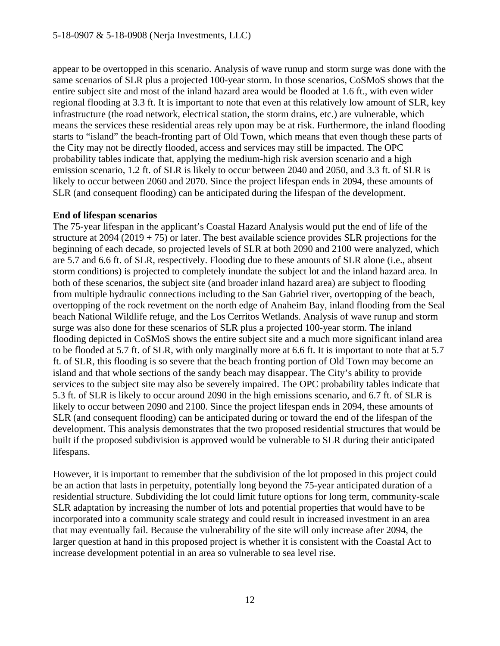appear to be overtopped in this scenario. Analysis of wave runup and storm surge was done with the same scenarios of SLR plus a projected 100-year storm. In those scenarios, CoSMoS shows that the entire subject site and most of the inland hazard area would be flooded at 1.6 ft., with even wider regional flooding at 3.3 ft. It is important to note that even at this relatively low amount of SLR, key infrastructure (the road network, electrical station, the storm drains, etc.) are vulnerable, which means the services these residential areas rely upon may be at risk. Furthermore, the inland flooding starts to "island" the beach-fronting part of Old Town, which means that even though these parts of the City may not be directly flooded, access and services may still be impacted. The OPC probability tables indicate that, applying the medium-high risk aversion scenario and a high emission scenario, 1.2 ft. of SLR is likely to occur between 2040 and 2050, and 3.3 ft. of SLR is likely to occur between 2060 and 2070. Since the project lifespan ends in 2094, these amounts of SLR (and consequent flooding) can be anticipated during the lifespan of the development.

#### **End of lifespan scenarios**

The 75-year lifespan in the applicant's Coastal Hazard Analysis would put the end of life of the structure at  $2094 (2019 + 75)$  or later. The best available science provides SLR projections for the beginning of each decade, so projected levels of SLR at both 2090 and 2100 were analyzed, which are 5.7 and 6.6 ft. of SLR, respectively. Flooding due to these amounts of SLR alone (i.e., absent storm conditions) is projected to completely inundate the subject lot and the inland hazard area. In both of these scenarios, the subject site (and broader inland hazard area) are subject to flooding from multiple hydraulic connections including to the San Gabriel river, overtopping of the beach, overtopping of the rock revetment on the north edge of Anaheim Bay, inland flooding from the Seal beach National Wildlife refuge, and the Los Cerritos Wetlands. Analysis of wave runup and storm surge was also done for these scenarios of SLR plus a projected 100-year storm. The inland flooding depicted in CoSMoS shows the entire subject site and a much more significant inland area to be flooded at 5.7 ft. of SLR, with only marginally more at 6.6 ft. It is important to note that at 5.7 ft. of SLR, this flooding is so severe that the beach fronting portion of Old Town may become an island and that whole sections of the sandy beach may disappear. The City's ability to provide services to the subject site may also be severely impaired. The OPC probability tables indicate that 5.3 ft. of SLR is likely to occur around 2090 in the high emissions scenario, and 6.7 ft. of SLR is likely to occur between 2090 and 2100. Since the project lifespan ends in 2094, these amounts of SLR (and consequent flooding) can be anticipated during or toward the end of the lifespan of the development. This analysis demonstrates that the two proposed residential structures that would be built if the proposed subdivision is approved would be vulnerable to SLR during their anticipated lifespans.

However, it is important to remember that the subdivision of the lot proposed in this project could be an action that lasts in perpetuity, potentially long beyond the 75-year anticipated duration of a residential structure. Subdividing the lot could limit future options for long term, community-scale SLR adaptation by increasing the number of lots and potential properties that would have to be incorporated into a community scale strategy and could result in increased investment in an area that may eventually fail. Because the vulnerability of the site will only increase after 2094, the larger question at hand in this proposed project is whether it is consistent with the Coastal Act to increase development potential in an area so vulnerable to sea level rise.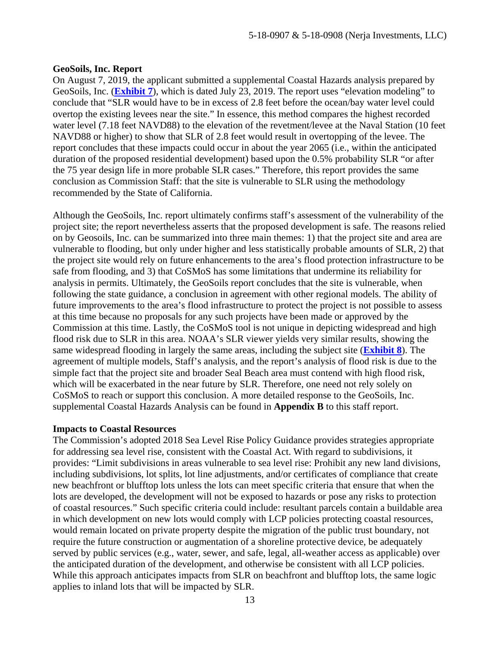#### **GeoSoils, Inc. Report**

On August 7, 2019, the applicant submitted a supplemental Coastal Hazards analysis prepared by GeoSoils, Inc. (**Exhibit 7**), which is dated July 23, 2019. The report uses "elevation modeling" to conclude that "SLR would have to be in excess of 2.8 feet before the ocean/bay water level could overtop the existing levees near the site." In essence, this method compares the highest recorded water level (7.18 feet NAVD88) to the elevation of the revetment/levee at the Naval Station (10 feet NAVD88 or higher) to show that SLR of 2.8 feet would result in overtopping of the levee. The report concludes that these impacts could occur in about the year 2065 (i.e., within the anticipated duration of the proposed residential development) based upon the 0.5% probability SLR "or after the 75 year design life in more probable SLR cases." Therefore, this report provides the same conclusion as Commission Staff: that the site is vulnerable to SLR using the methodology recommended by the State of California.

Although the GeoSoils, Inc. report ultimately confirms staff's assessment of the vulnerability of the project site; the report nevertheless asserts that the proposed development is safe. The reasons relied on by Geosoils, Inc. can be summarized into three main themes: 1) that the project site and area are vulnerable to flooding, but only under higher and less statistically probable amounts of SLR, 2) that the project site would rely on future enhancements to the area's flood protection infrastructure to be safe from flooding, and 3) that CoSMoS has some limitations that undermine its reliability for analysis in permits. Ultimately, the GeoSoils report concludes that the site is vulnerable, when following the state guidance, a conclusion in agreement with other regional models. The ability of future improvements to the area's flood infrastructure to protect the project is not possible to assess at this time because no proposals for any such projects have been made or approved by the Commission at this time. Lastly, the CoSMoS tool is not unique in depicting widespread and high flood risk due to SLR in this area. NOAA's SLR viewer yields very similar results, showing the same widespread flooding in largely the same areas, including the subject site (**Exhibit 8**). The agreement of multiple models, Staff's analysis, and the report's analysis of flood risk is due to the simple fact that the project site and broader Seal Beach area must contend with high flood risk, which will be exacerbated in the near future by SLR. Therefore, one need not rely solely on CoSMoS to reach or support this conclusion. A more detailed response to the GeoSoils, Inc. supplemental Coastal Hazards Analysis can be found in **Appendix B** to this staff report.

#### **Impacts to Coastal Resources**

The Commission's adopted 2018 Sea Level Rise Policy Guidance provides strategies appropriate for addressing sea level rise, consistent with the Coastal Act. With regard to subdivisions, it provides: "Limit subdivisions in areas vulnerable to sea level rise: Prohibit any new land divisions, including subdivisions, lot splits, lot line adjustments, and/or certificates of compliance that create new beachfront or blufftop lots unless the lots can meet specific criteria that ensure that when the lots are developed, the development will not be exposed to hazards or pose any risks to protection of coastal resources." Such specific criteria could include: resultant parcels contain a buildable area in which development on new lots would comply with LCP policies protecting coastal resources, would remain located on private property despite the migration of the public trust boundary, not require the future construction or augmentation of a shoreline protective device, be adequately served by public services (e.g., water, sewer, and safe, legal, all-weather access as applicable) over the anticipated duration of the development, and otherwise be consistent with all LCP policies. While this approach anticipates impacts from SLR on beachfront and blufftop lots, the same logic applies to inland lots that will be impacted by SLR.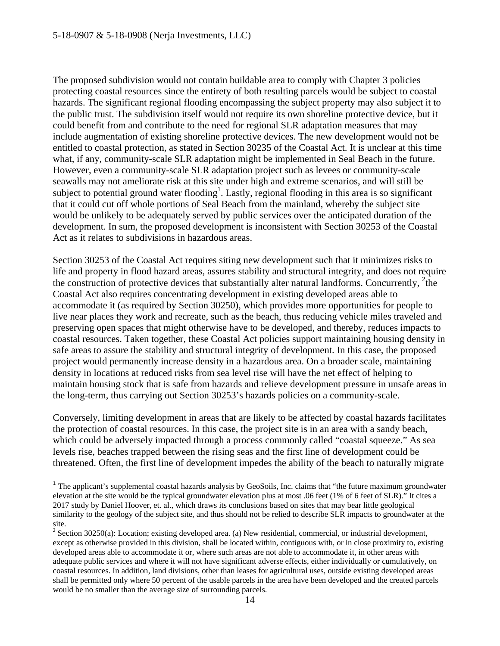$\overline{a}$ 

The proposed subdivision would not contain buildable area to comply with Chapter 3 policies protecting coastal resources since the entirety of both resulting parcels would be subject to coastal hazards. The significant regional flooding encompassing the subject property may also subject it to the public trust. The subdivision itself would not require its own shoreline protective device, but it could benefit from and contribute to the need for regional SLR adaptation measures that may include augmentation of existing shoreline protective devices. The new development would not be entitled to coastal protection, as stated in Section 30235 of the Coastal Act. It is unclear at this time what, if any, community-scale SLR adaptation might be implemented in Seal Beach in the future. However, even a community-scale SLR adaptation project such as levees or community-scale seawalls may not ameliorate risk at this site under high and extreme scenarios, and will still be subject to potential ground water flooding<sup>1</sup>. Lastly, regional flooding in this area is so significant that it could cut off whole portions of Seal Beach from the mainland, whereby the subject site would be unlikely to be adequately served by public services over the anticipated duration of the development. In sum, the proposed development is inconsistent with Section 30253 of the Coastal Act as it relates to subdivisions in hazardous areas.

Section 30253 of the Coastal Act requires siting new development such that it minimizes risks to life and property in flood hazard areas, assures stability and structural integrity, and does not require the construction of protective devices that substantially alter natural landforms. Concurrently, <sup>2</sup>the Coastal Act also requires concentrating development in existing developed areas able to accommodate it (as required by Section 30250), which provides more opportunities for people to live near places they work and recreate, such as the beach, thus reducing vehicle miles traveled and preserving open spaces that might otherwise have to be developed, and thereby, reduces impacts to coastal resources. Taken together, these Coastal Act policies support maintaining housing density in safe areas to assure the stability and structural integrity of development. In this case, the proposed project would permanently increase density in a hazardous area. On a broader scale, maintaining density in locations at reduced risks from sea level rise will have the net effect of helping to maintain housing stock that is safe from hazards and relieve development pressure in unsafe areas in the long-term, thus carrying out Section 30253's hazards policies on a community-scale.

Conversely, limiting development in areas that are likely to be affected by coastal hazards facilitates the protection of coastal resources. In this case, the project site is in an area with a sandy beach, which could be adversely impacted through a process commonly called "coastal squeeze." As sea levels rise, beaches trapped between the rising seas and the first line of development could be threatened. Often, the first line of development impedes the ability of the beach to naturally migrate

<sup>&</sup>lt;sup>1</sup> The applicant's supplemental coastal hazards analysis by GeoSoils, Inc. claims that "the future maximum groundwater" elevation at the site would be the typical groundwater elevation plus at most .06 feet (1% of 6 feet of SLR)." It cites a 2017 study by Daniel Hoover, et. al., which draws its conclusions based on sites that may bear little geological similarity to the geology of the subject site, and thus should not be relied to describe SLR impacts to groundwater at the site.

 $2^2$  Section 30250(a): Location; existing developed area. (a) New residential, commercial, or industrial development, except as otherwise provided in this division, shall be located within, contiguous with, or in close proximity to, existing developed areas able to accommodate it or, where such areas are not able to accommodate it, in other areas with adequate public services and where it will not have significant adverse effects, either individually or cumulatively, on coastal resources. In addition, land divisions, other than leases for agricultural uses, outside existing developed areas shall be permitted only where 50 percent of the usable parcels in the area have been developed and the created parcels would be no smaller than the average size of surrounding parcels.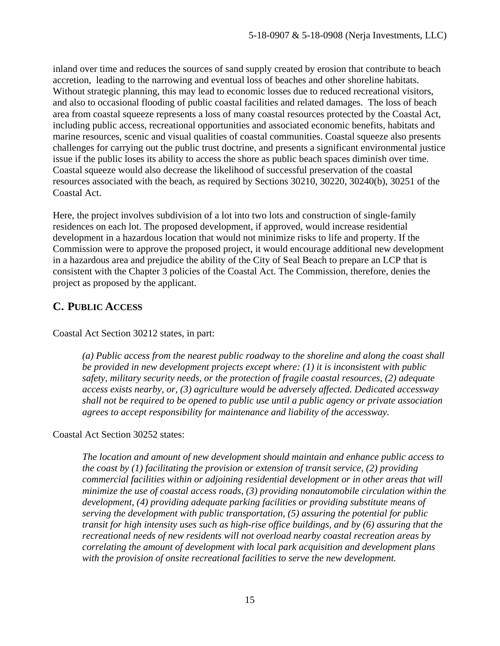inland over time and reduces the sources of sand supply created by erosion that contribute to beach accretion, leading to the narrowing and eventual loss of beaches and other shoreline habitats. Without strategic planning, this may lead to economic losses due to reduced recreational visitors, and also to occasional flooding of public coastal facilities and related damages. The loss of beach area from coastal squeeze represents a loss of many coastal resources protected by the Coastal Act, including public access, recreational opportunities and associated economic benefits, habitats and marine resources, scenic and visual qualities of coastal communities. Coastal squeeze also presents challenges for carrying out the public trust doctrine, and presents a significant environmental justice issue if the public loses its ability to access the shore as public beach spaces diminish over time. Coastal squeeze would also decrease the likelihood of successful preservation of the coastal resources associated with the beach, as required by Sections 30210, 30220, 30240(b), 30251 of the Coastal Act.

Here, the project involves subdivision of a lot into two lots and construction of single-family residences on each lot. The proposed development, if approved, would increase residential development in a hazardous location that would not minimize risks to life and property. If the Commission were to approve the proposed project, it would encourage additional new development in a hazardous area and prejudice the ability of the City of Seal Beach to prepare an LCP that is consistent with the Chapter 3 policies of the Coastal Act. The Commission, therefore, denies the project as proposed by the applicant.

# **C. PUBLIC ACCESS**

Coastal Act Section 30212 states, in part:

*(a) Public access from the nearest public roadway to the shoreline and along the coast shall be provided in new development projects except where: (1) it is inconsistent with public safety, military security needs, or the protection of fragile coastal resources, (2) adequate access exists nearby, or, (3) agriculture would be adversely affected. Dedicated accessway shall not be required to be opened to public use until a public agency or private association agrees to accept responsibility for maintenance and liability of the accessway.* 

Coastal Act Section 30252 states:

*The location and amount of new development should maintain and enhance public access to the coast by (1) facilitating the provision or extension of transit service, (2) providing commercial facilities within or adjoining residential development or in other areas that will minimize the use of coastal access roads, (3) providing nonautomobile circulation within the development, (4) providing adequate parking facilities or providing substitute means of serving the development with public transportation, (5) assuring the potential for public transit for high intensity uses such as high-rise office buildings, and by (6) assuring that the recreational needs of new residents will not overload nearby coastal recreation areas by correlating the amount of development with local park acquisition and development plans with the provision of onsite recreational facilities to serve the new development.*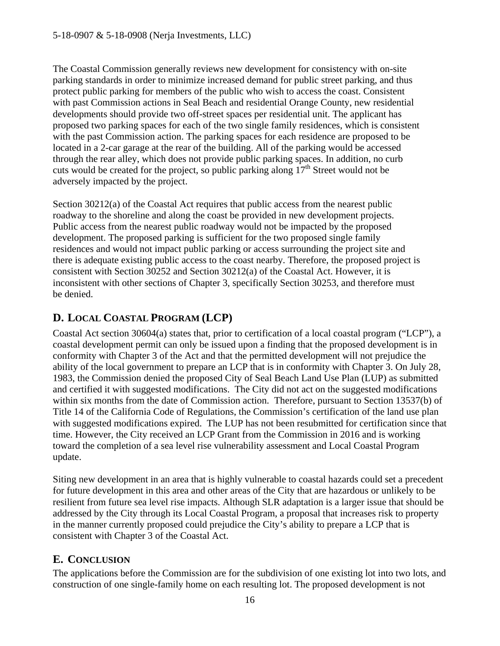The Coastal Commission generally reviews new development for consistency with on-site parking standards in order to minimize increased demand for public street parking, and thus protect public parking for members of the public who wish to access the coast. Consistent with past Commission actions in Seal Beach and residential Orange County, new residential developments should provide two off-street spaces per residential unit. The applicant has proposed two parking spaces for each of the two single family residences, which is consistent with the past Commission action. The parking spaces for each residence are proposed to be located in a 2-car garage at the rear of the building. All of the parking would be accessed through the rear alley, which does not provide public parking spaces. In addition, no curb cuts would be created for the project, so public parking along  $17<sup>th</sup>$  Street would not be adversely impacted by the project.

Section 30212(a) of the Coastal Act requires that public access from the nearest public roadway to the shoreline and along the coast be provided in new development projects. Public access from the nearest public roadway would not be impacted by the proposed development. The proposed parking is sufficient for the two proposed single family residences and would not impact public parking or access surrounding the project site and there is adequate existing public access to the coast nearby. Therefore, the proposed project is consistent with Section 30252 and Section 30212(a) of the Coastal Act. However, it is inconsistent with other sections of Chapter 3, specifically Section 30253, and therefore must be denied.

# **D. LOCAL COASTAL PROGRAM (LCP)**

Coastal Act section 30604(a) states that, prior to certification of a local coastal program ("LCP"), a coastal development permit can only be issued upon a finding that the proposed development is in conformity with Chapter 3 of the Act and that the permitted development will not prejudice the ability of the local government to prepare an LCP that is in conformity with Chapter 3. On July 28, 1983, the Commission denied the proposed City of Seal Beach Land Use Plan (LUP) as submitted and certified it with suggested modifications. The City did not act on the suggested modifications within six months from the date of Commission action. Therefore, pursuant to Section 13537(b) of Title 14 of the California Code of Regulations, the Commission's certification of the land use plan with suggested modifications expired. The LUP has not been resubmitted for certification since that time. However, the City received an LCP Grant from the Commission in 2016 and is working toward the completion of a sea level rise vulnerability assessment and Local Coastal Program update.

Siting new development in an area that is highly vulnerable to coastal hazards could set a precedent for future development in this area and other areas of the City that are hazardous or unlikely to be resilient from future sea level rise impacts. Although SLR adaptation is a larger issue that should be addressed by the City through its Local Coastal Program, a proposal that increases risk to property in the manner currently proposed could prejudice the City's ability to prepare a LCP that is consistent with Chapter 3 of the Coastal Act.

# **E. CONCLUSION**

The applications before the Commission are for the subdivision of one existing lot into two lots, and construction of one single-family home on each resulting lot. The proposed development is not